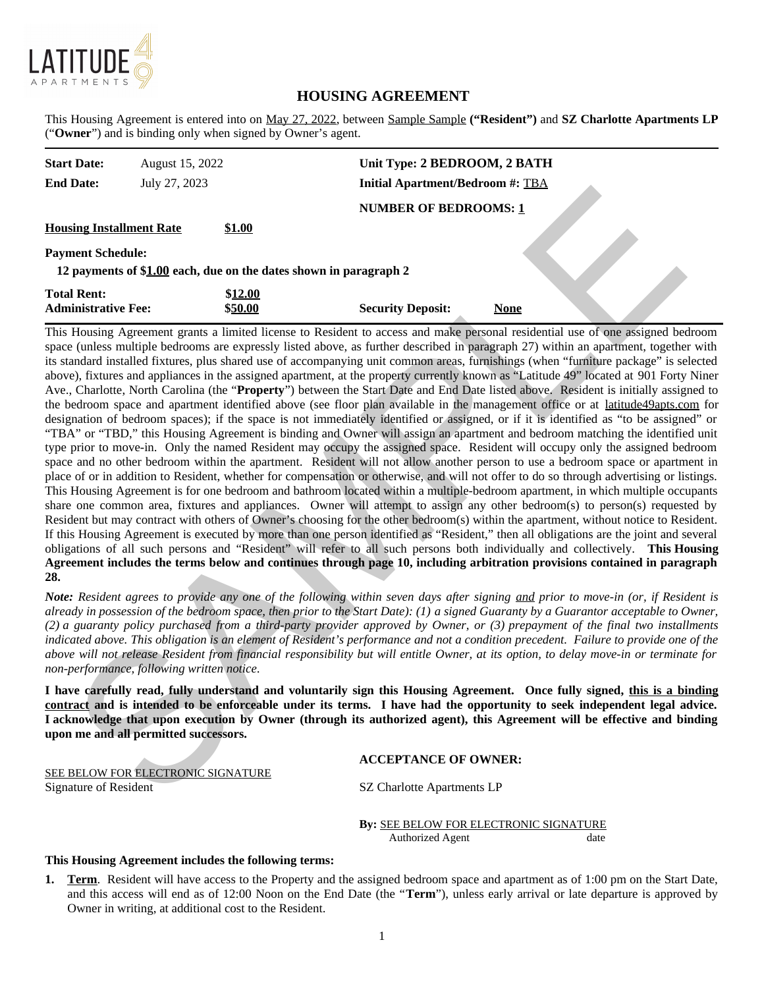

# **HOUSING AGREEMENT**

This Housing Agreement is entered into on May 27, 2022, between Sample Sample **("Resident")** and **SZ Charlotte Apartments LP** ("**Owner**") and is binding only when signed by Owner's agent.

| <b>Start Date:</b><br><b>End Date:</b>                                                        | August 15, 2022<br>July 27, 2023 |                    | Unit Type: 2 BEDROOM, 2 BATH<br><b>Initial Apartment/Bedroom #: TBA</b> |             |  |  |  |  |
|-----------------------------------------------------------------------------------------------|----------------------------------|--------------------|-------------------------------------------------------------------------|-------------|--|--|--|--|
|                                                                                               |                                  |                    | <b>NUMBER OF BEDROOMS: 1</b>                                            |             |  |  |  |  |
| <b>Housing Installment Rate</b>                                                               |                                  | <b>\$1.00</b>      |                                                                         |             |  |  |  |  |
| <b>Payment Schedule:</b><br>12 payments of \$1.00 each, due on the dates shown in paragraph 2 |                                  |                    |                                                                         |             |  |  |  |  |
| <b>Total Rent:</b><br><b>Administrative Fee:</b>                                              |                                  | \$12.00<br>\$50.00 | <b>Security Deposit:</b>                                                | <b>None</b> |  |  |  |  |

This Housing Agreement grants a limited license to Resident to access and make personal residential use of one assigned bedroom space (unless multiple bedrooms are expressly listed above, as further described in paragraph 27) within an apartment, together with its standard installed fixtures, plus shared use of accompanying unit common areas, furnishings (when "furniture package" is selected above), fixtures and appliances in the assigned apartment, at the property currently known as "Latitude 49" located at 901 Forty Niner Ave., Charlotte, North Carolina (the "**Property**") between the Start Date and End Date listed above. Resident is initially assigned to the bedroom space and apartment identified above (see floor plan available in the management office or at latitude49apts.com for designation of bedroom spaces); if the space is not immediately identified or assigned, or if it is identified as "to be assigned" or "TBA" or "TBD," this Housing Agreement is binding and Owner will assign an apartment and bedroom matching the identified unit type prior to move-in. Only the named Resident may occupy the assigned space. Resident will occupy only the assigned bedroom space and no other bedroom within the apartment. Resident will not allow another person to use a bedroom space or apartment in place of or in addition to Resident, whether for compensation or otherwise, and will not offer to do so through advertising or listings. This Housing Agreement is for one bedroom and bathroom located within a multiple-bedroom apartment, in which multiple occupants share one common area, fixtures and appliances. Owner will attempt to assign any other bedroom(s) to person(s) requested by Resident but may contract with others of Owner's choosing for the other bedroom(s) within the apartment, without notice to Resident. If this Housing Agreement is executed by more than one person identified as "Resident," then all obligations are the joint and several obligations of all such persons and "Resident" will refer to all such persons both individually and collectively. **This Housing Agreement includes the terms below and continues through page 10, including arbitration provisions contained in paragraph 28.** Lines:  $\frac{1}{2}$  and  $\frac{1}{2}$  and  $\frac{1}{2}$  and  $\frac{1}{2}$  and  $\frac{1}{2}$  and  $\frac{1}{2}$  and  $\frac{1}{2}$  and  $\frac{1}{2}$  and  $\frac{1}{2}$  and  $\frac{1}{2}$  and  $\frac{1}{2}$  and  $\frac{1}{2}$  and  $\frac{1}{2}$  and  $\frac{1}{2}$  and  $\frac{1}{2}$  and  $\frac{$ 

*Note: Resident agrees to provide any one of the following within seven days after signing and prior to move-in (or, if Resident is already in possession of the bedroom space, then prior to the Start Date): (1) a signed Guaranty by a Guarantor acceptable to Owner, (2) a guaranty policy purchased from a third-party provider approved by Owner, or (3) prepayment of the final two installments indicated above. This obligation is an element of Resident's performance and not a condition precedent. Failure to provide one of the above will not release Resident from financial responsibility but will entitle Owner, at its option, to delay move-in or terminate for non-performance, following written notice.*

**I have carefully read, fully understand and voluntarily sign this Housing Agreement. Once fully signed, this is a binding contract and is intended to be enforceable under its terms. I have had the opportunity to seek independent legal advice. I acknowledge that upon execution by Owner (through its authorized agent), this Agreement will be effective and binding upon me and all permitted successors.**

#### **ACCEPTANCE OF OWNER:**

SEE BELOW FOR ELECTRONIC SIGNATURE Signature of Resident SZ Charlotte Apartments LP

> **By:** SEE BELOW FOR ELECTRONIC SIGNATURE Authorized Agent date

#### **This Housing Agreement includes the following terms:**

**1. Term**. Resident will have access to the Property and the assigned bedroom space and apartment as of 1:00 pm on the Start Date, and this access will end as of 12:00 Noon on the End Date (the "**Term**"), unless early arrival or late departure is approved by Owner in writing, at additional cost to the Resident.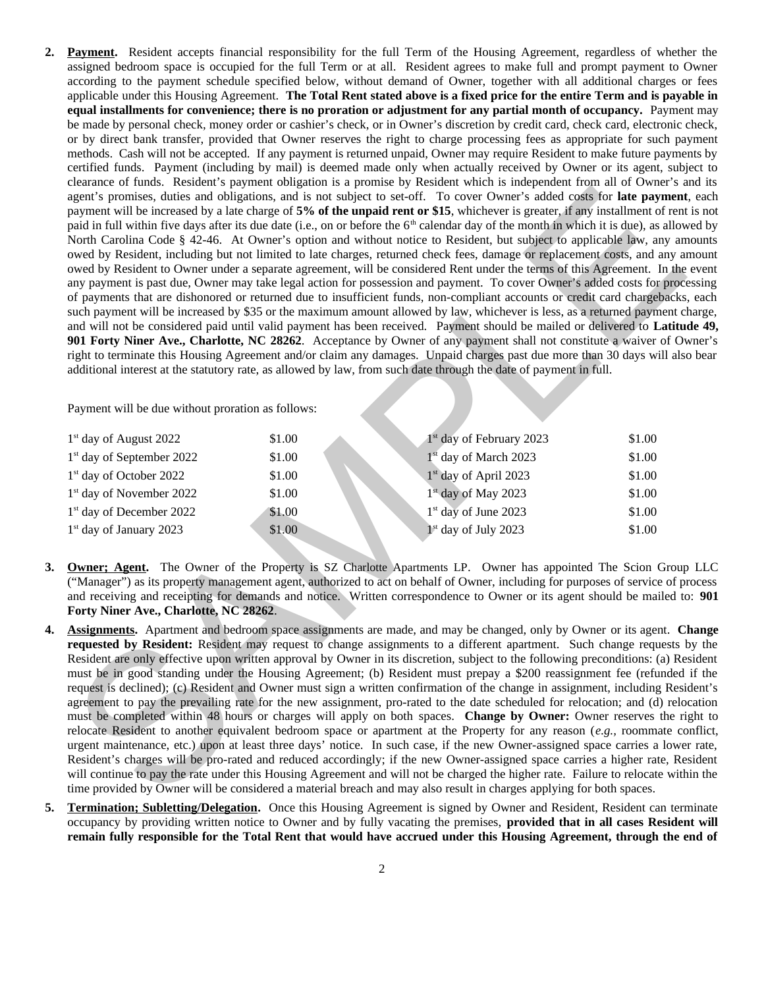**2. Payment.** Resident accepts financial responsibility for the full Term of the Housing Agreement, regardless of whether the assigned bedroom space is occupied for the full Term or at all. Resident agrees to make full and prompt payment to Owner according to the payment schedule specified below, without demand of Owner, together with all additional charges or fees applicable under this Housing Agreement. **The Total Rent stated above is a fixed price for the entire Term and is payable in equal installments for convenience; there is no proration or adjustment for any partial month of occupancy.** Payment may be made by personal check, money order or cashier's check, or in Owner's discretion by credit card, check card, electronic check, or by direct bank transfer, provided that Owner reserves the right to charge processing fees as appropriate for such payment methods. Cash will not be accepted. If any payment is returned unpaid, Owner may require Resident to make future payments by certified funds. Payment (including by mail) is deemed made only when actually received by Owner or its agent, subject to clearance of funds. Resident's payment obligation is a promise by Resident which is independent from all of Owner's and its agent's promises, duties and obligations, and is not subject to set-off. To cover Owner's added costs for **late payment**, each payment will be increased by a late charge of **5% of the unpaid rent or \$15**, whichever is greater, if any installment of rent is not paid in full within five days after its due date (i.e., on or before the  $6<sup>th</sup>$  calendar day of the month in which it is due), as allowed by North Carolina Code § 42-46. At Owner's option and without notice to Resident, but subject to applicable law, any amounts owed by Resident, including but not limited to late charges, returned check fees, damage or replacement costs, and any amount owed by Resident to Owner under a separate agreement, will be considered Rent under the terms of this Agreement. In the event any payment is past due, Owner may take legal action for possession and payment. To cover Owner's added costs for processing of payments that are dishonored or returned due to insufficient funds, non-compliant accounts or credit card chargebacks, each such payment will be increased by \$35 or the maximum amount allowed by law, whichever is less, as a returned payment charge, and will not be considered paid until valid payment has been received. Payment should be mailed or delivered to **Latitude 49, 901 Forty Niner Ave., Charlotte, NC 28262**. Acceptance by Owner of any payment shall not constitute a waiver of Owner's right to terminate this Housing Agreement and/or claim any damages. Unpaid charges past due more than 30 days will also bear additional interest at the statutory rate, as allowed by law, from such date through the date of payment in full. **Example 2021**<br>
Sometimes a distance of the interaction condition of the interaction of the interaction of the interaction of the interaction of the interaction of the interaction of the interaction of the interaction of

Payment will be due without proration as follows:

| $1st$ day of August 2022              | \$1.00 | $1st$ day of February 2023       | \$1.00 |
|---------------------------------------|--------|----------------------------------|--------|
| 1 <sup>st</sup> day of September 2022 | \$1.00 | $1st$ day of March 2023          | \$1.00 |
| 1 <sup>st</sup> day of October 2022   | \$1.00 | $1st$ day of April 2023          | \$1.00 |
| 1 <sup>st</sup> day of November 2022  | \$1.00 | $1st$ day of May 2023            | \$1.00 |
| 1 <sup>st</sup> day of December 2022  | \$1.00 | 1 <sup>st</sup> day of June 2023 | \$1.00 |
| $1st$ day of January 2023             | \$1.00 | $1st$ day of July 2023           | \$1.00 |

- **3. Owner; Agent.** The Owner of the Property is SZ Charlotte Apartments LP. Owner has appointed The Scion Group LLC ("Manager") as its property management agent, authorized to act on behalf of Owner, including for purposes of service of process and receiving and receipting for demands and notice. Written correspondence to Owner or its agent should be mailed to: **901 Forty Niner Ave., Charlotte, NC 28262**.
- **4. Assignments.** Apartment and bedroom space assignments are made, and may be changed, only by Owner or its agent. **Change requested by Resident:** Resident may request to change assignments to a different apartment. Such change requests by the Resident are only effective upon written approval by Owner in its discretion, subject to the following preconditions: (a) Resident must be in good standing under the Housing Agreement; (b) Resident must prepay a \$200 reassignment fee (refunded if the request is declined); (c) Resident and Owner must sign a written confirmation of the change in assignment, including Resident's agreement to pay the prevailing rate for the new assignment, pro-rated to the date scheduled for relocation; and (d) relocation must be completed within 48 hours or charges will apply on both spaces. **Change by Owner:** Owner reserves the right to relocate Resident to another equivalent bedroom space or apartment at the Property for any reason (*e.g.,* roommate conflict, urgent maintenance, etc.) upon at least three days' notice. In such case, if the new Owner-assigned space carries a lower rate, Resident's charges will be pro-rated and reduced accordingly; if the new Owner-assigned space carries a higher rate, Resident will continue to pay the rate under this Housing Agreement and will not be charged the higher rate. Failure to relocate within the time provided by Owner will be considered a material breach and may also result in charges applying for both spaces.
- **5. Termination; Subletting/Delegation.** Once this Housing Agreement is signed by Owner and Resident, Resident can terminate occupancy by providing written notice to Owner and by fully vacating the premises, **provided that in all cases Resident will remain fully responsible for the Total Rent that would have accrued under this Housing Agreement, through the end of**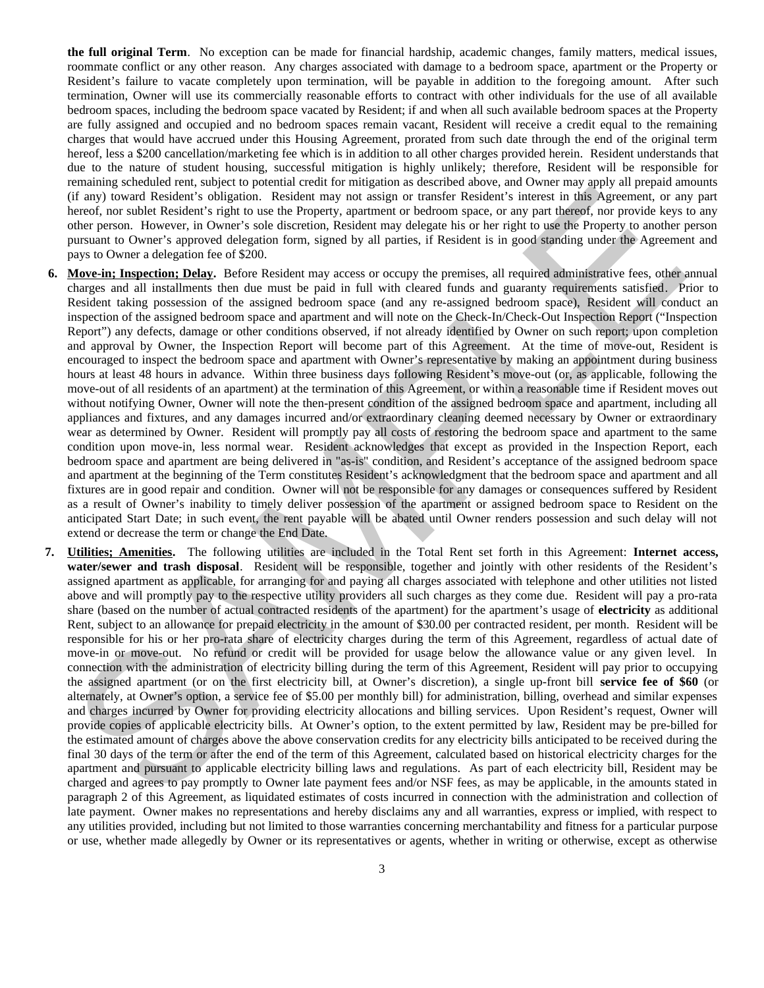**the full original Term**. No exception can be made for financial hardship, academic changes, family matters, medical issues, roommate conflict or any other reason. Any charges associated with damage to a bedroom space, apartment or the Property or Resident's failure to vacate completely upon termination, will be payable in addition to the foregoing amount. After such termination, Owner will use its commercially reasonable efforts to contract with other individuals for the use of all available bedroom spaces, including the bedroom space vacated by Resident; if and when all such available bedroom spaces at the Property are fully assigned and occupied and no bedroom spaces remain vacant, Resident will receive a credit equal to the remaining charges that would have accrued under this Housing Agreement, prorated from such date through the end of the original term hereof, less a \$200 cancellation/marketing fee which is in addition to all other charges provided herein. Resident understands that due to the nature of student housing, successful mitigation is highly unlikely; therefore, Resident will be responsible for remaining scheduled rent, subject to potential credit for mitigation as described above, and Owner may apply all prepaid amounts (if any) toward Resident's obligation. Resident may not assign or transfer Resident's interest in this Agreement, or any part hereof, nor sublet Resident's right to use the Property, apartment or bedroom space, or any part thereof, nor provide keys to any other person. However, in Owner's sole discretion, Resident may delegate his or her right to use the Property to another person pursuant to Owner's approved delegation form, signed by all parties, if Resident is in good standing under the Agreement and pays to Owner a delegation fee of \$200.

- **6. Move-in; Inspection; Delay.** Before Resident may access or occupy the premises, all required administrative fees, other annual charges and all installments then due must be paid in full with cleared funds and guaranty requirements satisfied. Prior to Resident taking possession of the assigned bedroom space (and any re-assigned bedroom space), Resident will conduct an inspection of the assigned bedroom space and apartment and will note on the Check-In/Check-Out Inspection Report ("Inspection Report") any defects, damage or other conditions observed, if not already identified by Owner on such report; upon completion and approval by Owner, the Inspection Report will become part of this Agreement. At the time of move-out, Resident is encouraged to inspect the bedroom space and apartment with Owner's representative by making an appointment during business hours at least 48 hours in advance. Within three business days following Resident's move-out (or, as applicable, following the move-out of all residents of an apartment) at the termination of this Agreement, or within a reasonable time if Resident moves out without notifying Owner, Owner will note the then-present condition of the assigned bedroom space and apartment, including all appliances and fixtures, and any damages incurred and/or extraordinary cleaning deemed necessary by Owner or extraordinary wear as determined by Owner. Resident will promptly pay all costs of restoring the bedroom space and apartment to the same condition upon move-in, less normal wear. Resident acknowledges that except as provided in the Inspection Report, each bedroom space and apartment are being delivered in "as-is" condition, and Resident's acceptance of the assigned bedroom space and apartment at the beginning of the Term constitutes Resident's acknowledgment that the bedroom space and apartment and all fixtures are in good repair and condition. Owner will not be responsible for any damages or consequences suffered by Resident as a result of Owner's inability to timely deliver possession of the apartment or assigned bedroom space to Resident on the anticipated Start Date; in such event, the rent payable will be abated until Owner renders possession and such delay will not extend or decrease the term or change the End Date. If any about Bookin a bikelihol. Bookin and was askin at taskin a bikelihol. In the bikelihola and the stationary and the stationary and the stationary and the stationary and the stationary and the stationary and the stat
- **7. Utilities; Amenities.** The following utilities are included in the Total Rent set forth in this Agreement: **Internet access, water/sewer and trash disposal**. Resident will be responsible, together and jointly with other residents of the Resident's assigned apartment as applicable, for arranging for and paying all charges associated with telephone and other utilities not listed above and will promptly pay to the respective utility providers all such charges as they come due. Resident will pay a pro-rata share (based on the number of actual contracted residents of the apartment) for the apartment's usage of **electricity** as additional Rent, subject to an allowance for prepaid electricity in the amount of \$30.00 per contracted resident, per month. Resident will be responsible for his or her pro-rata share of electricity charges during the term of this Agreement, regardless of actual date of move-in or move-out. No refund or credit will be provided for usage below the allowance value or any given level. In connection with the administration of electricity billing during the term of this Agreement, Resident will pay prior to occupying the assigned apartment (or on the first electricity bill, at Owner's discretion), a single up-front bill **service fee of \$60** (or alternately, at Owner's option, a service fee of \$5.00 per monthly bill) for administration, billing, overhead and similar expenses and charges incurred by Owner for providing electricity allocations and billing services. Upon Resident's request, Owner will provide copies of applicable electricity bills. At Owner's option, to the extent permitted by law, Resident may be pre-billed for the estimated amount of charges above the above conservation credits for any electricity bills anticipated to be received during the final 30 days of the term or after the end of the term of this Agreement, calculated based on historical electricity charges for the apartment and pursuant to applicable electricity billing laws and regulations. As part of each electricity bill, Resident may be charged and agrees to pay promptly to Owner late payment fees and/or NSF fees, as may be applicable, in the amounts stated in paragraph 2 of this Agreement, as liquidated estimates of costs incurred in connection with the administration and collection of late payment. Owner makes no representations and hereby disclaims any and all warranties, express or implied, with respect to any utilities provided, including but not limited to those warranties concerning merchantability and fitness for a particular purpose or use, whether made allegedly by Owner or its representatives or agents, whether in writing or otherwise, except as otherwise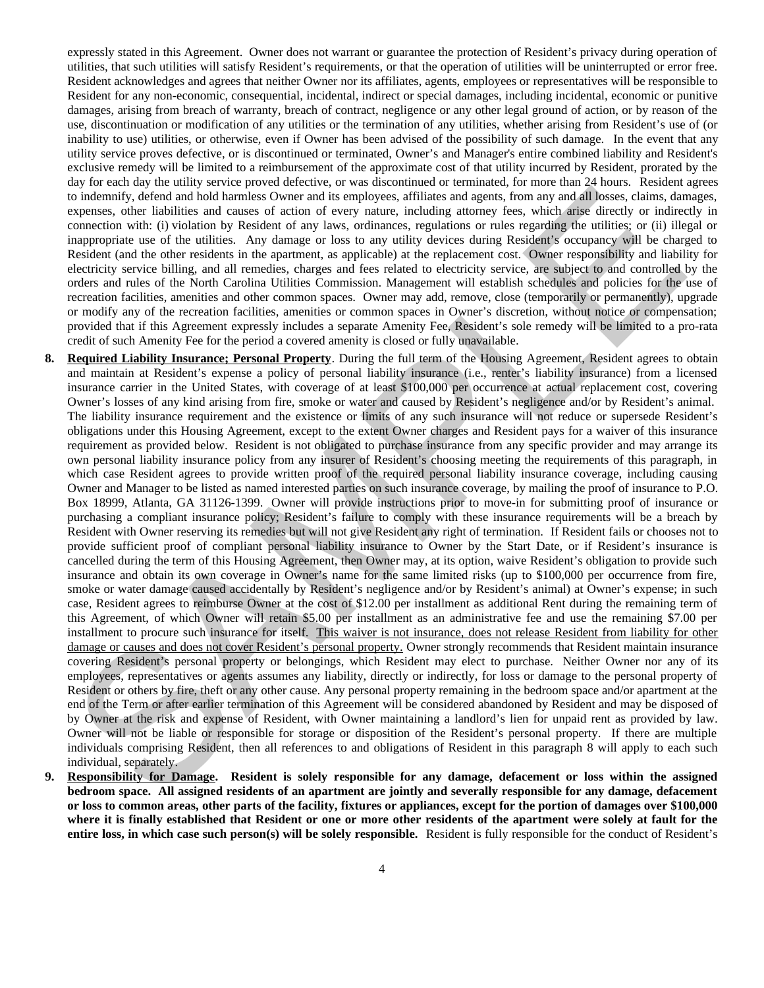expressly stated in this Agreement. Owner does not warrant or guarantee the protection of Resident's privacy during operation of utilities, that such utilities will satisfy Resident's requirements, or that the operation of utilities will be uninterrupted or error free. Resident acknowledges and agrees that neither Owner nor its affiliates, agents, employees or representatives will be responsible to Resident for any non-economic, consequential, incidental, indirect or special damages, including incidental, economic or punitive damages, arising from breach of warranty, breach of contract, negligence or any other legal ground of action, or by reason of the use, discontinuation or modification of any utilities or the termination of any utilities, whether arising from Resident's use of (or inability to use) utilities, or otherwise, even if Owner has been advised of the possibility of such damage. In the event that any utility service proves defective, or is discontinued or terminated, Owner's and Manager's entire combined liability and Resident's exclusive remedy will be limited to a reimbursement of the approximate cost of that utility incurred by Resident, prorated by the day for each day the utility service proved defective, or was discontinued or terminated, for more than 24 hours. Resident agrees to indemnify, defend and hold harmless Owner and its employees, affiliates and agents, from any and all losses, claims, damages, expenses, other liabilities and causes of action of every nature, including attorney fees, which arise directly or indirectly in connection with: (i) violation by Resident of any laws, ordinances, regulations or rules regarding the utilities; or (ii) illegal or inappropriate use of the utilities. Any damage or loss to any utility devices during Resident's occupancy will be charged to Resident (and the other residents in the apartment, as applicable) at the replacement cost. Owner responsibility and liability for electricity service billing, and all remedies, charges and fees related to electricity service, are subject to and controlled by the orders and rules of the North Carolina Utilities Commission. Management will establish schedules and policies for the use of recreation facilities, amenities and other common spaces. Owner may add, remove, close (temporarily or permanently), upgrade or modify any of the recreation facilities, amenities or common spaces in Owner's discretion, without notice or compensation; provided that if this Agreement expressly includes a separate Amenity Fee, Resident's sole remedy will be limited to a pro-rata credit of such Amenity Fee for the period a covered amenity is closed or fully unavailable.

- **8. Required Liability Insurance; Personal Property**. During the full term of the Housing Agreement, Resident agrees to obtain and maintain at Resident's expense a policy of personal liability insurance (i.e., renter's liability insurance) from a licensed insurance carrier in the United States, with coverage of at least \$100,000 per occurrence at actual replacement cost, covering Owner's losses of any kind arising from fire, smoke or water and caused by Resident's negligence and/or by Resident's animal. The liability insurance requirement and the existence or limits of any such insurance will not reduce or supersede Resident's obligations under this Housing Agreement, except to the extent Owner charges and Resident pays for a waiver of this insurance requirement as provided below. Resident is not obligated to purchase insurance from any specific provider and may arrange its own personal liability insurance policy from any insurer of Resident's choosing meeting the requirements of this paragraph, in which case Resident agrees to provide written proof of the required personal liability insurance coverage, including causing Owner and Manager to be listed as named interested parties on such insurance coverage, by mailing the proof of insurance to P.O. Box 18999, Atlanta, GA 31126-1399. Owner will provide instructions prior to move-in for submitting proof of insurance or purchasing a compliant insurance policy; Resident's failure to comply with these insurance requirements will be a breach by Resident with Owner reserving its remedies but will not give Resident any right of termination. If Resident fails or chooses not to provide sufficient proof of compliant personal liability insurance to Owner by the Start Date, or if Resident's insurance is cancelled during the term of this Housing Agreement, then Owner may, at its option, waive Resident's obligation to provide such insurance and obtain its own coverage in Owner's name for the same limited risks (up to \$100,000 per occurrence from fire, smoke or water damage caused accidentally by Resident's negligence and/or by Resident's animal) at Owner's expense; in such case, Resident agrees to reimburse Owner at the cost of \$12.00 per installment as additional Rent during the remaining term of this Agreement, of which Owner will retain \$5.00 per installment as an administrative fee and use the remaining \$7.00 per installment to procure such insurance for itself. This waiver is not insurance, does not release Resident from liability for other damage or causes and does not cover Resident's personal property. Owner strongly recommends that Resident maintain insurance covering Resident's personal property or belongings, which Resident may elect to purchase. Neither Owner nor any of its employees, representatives or agents assumes any liability, directly or indirectly, for loss or damage to the personal property of Resident or others by fire, theft or any other cause. Any personal property remaining in the bedroom space and/or apartment at the end of the Term or after earlier termination of this Agreement will be considered abandoned by Resident and may be disposed of by Owner at the risk and expense of Resident, with Owner maintaining a landlord's lien for unpaid rent as provided by law. Owner will not be liable or responsible for storage or disposition of the Resident's personal property. If there are multiple individuals comprising Resident, then all references to and obligations of Resident in this paragraph 8 will apply to each such individual, separately. in the detailed and the bit houses Concertain and the main case. This may be the main and the stationary of the stationary of the stationary of the stationary of the stationary of the stationary of the stationary of the ma
- **9. Responsibility for Damage. Resident is solely responsible for any damage, defacement or loss within the assigned bedroom space. All assigned residents of an apartment are jointly and severally responsible for any damage, defacement or loss to common areas, other parts of the facility, fixtures or appliances, except for the portion of damages over \$100,000 where it is finally established that Resident or one or more other residents of the apartment were solely at fault for the entire loss, in which case such person(s) will be solely responsible.** Resident is fully responsible for the conduct of Resident's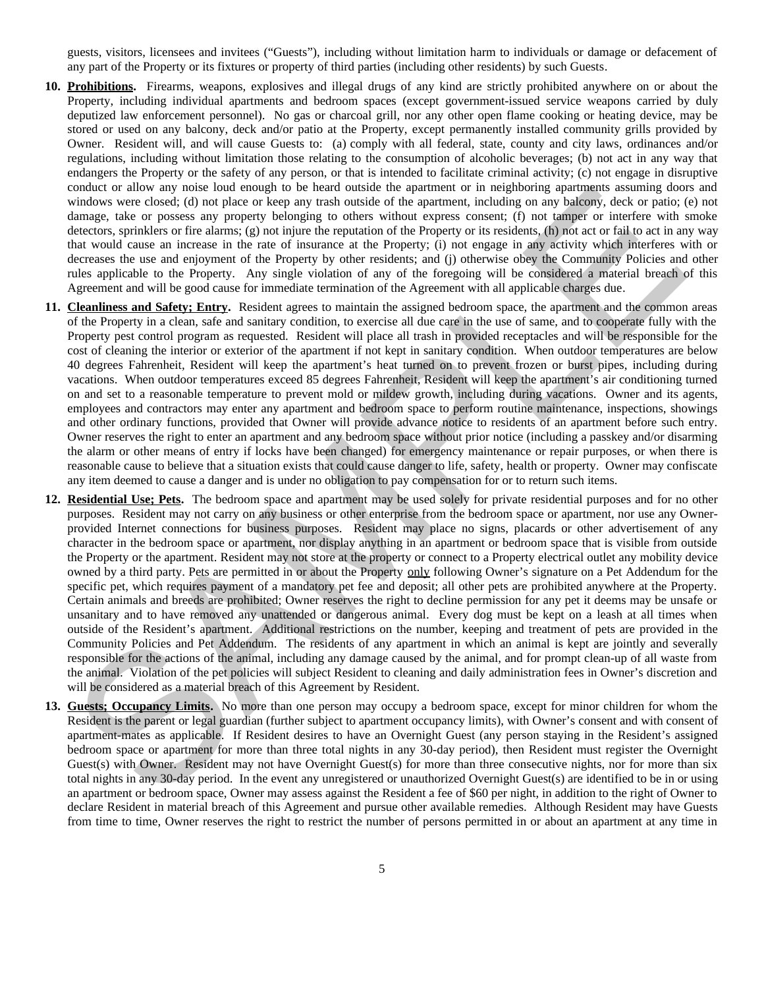guests, visitors, licensees and invitees ("Guests"), including without limitation harm to individuals or damage or defacement of any part of the Property or its fixtures or property of third parties (including other residents) by such Guests.

- **10. Prohibitions.** Firearms, weapons, explosives and illegal drugs of any kind are strictly prohibited anywhere on or about the Property, including individual apartments and bedroom spaces (except government-issued service weapons carried by duly deputized law enforcement personnel). No gas or charcoal grill, nor any other open flame cooking or heating device, may be stored or used on any balcony, deck and/or patio at the Property, except permanently installed community grills provided by Owner. Resident will, and will cause Guests to: (a) comply with all federal, state, county and city laws, ordinances and/or regulations, including without limitation those relating to the consumption of alcoholic beverages; (b) not act in any way that endangers the Property or the safety of any person, or that is intended to facilitate criminal activity; (c) not engage in disruptive conduct or allow any noise loud enough to be heard outside the apartment or in neighboring apartments assuming doors and windows were closed; (d) not place or keep any trash outside of the apartment, including on any balcony, deck or patio; (e) not damage, take or possess any property belonging to others without express consent; (f) not tamper or interfere with smoke detectors, sprinklers or fire alarms; (g) not injure the reputation of the Property or its residents, (h) not act or fail to act in any way that would cause an increase in the rate of insurance at the Property; (i) not engage in any activity which interferes with or decreases the use and enjoyment of the Property by other residents; and (j) otherwise obey the Community Policies and other rules applicable to the Property. Any single violation of any of the foregoing will be considered a material breach of this Agreement and will be good cause for immediate termination of the Agreement with all applicable charges due.
- **11. Cleanliness and Safety; Entry.** Resident agrees to maintain the assigned bedroom space, the apartment and the common areas of the Property in a clean, safe and sanitary condition, to exercise all due care in the use of same, and to cooperate fully with the Property pest control program as requested. Resident will place all trash in provided receptacles and will be responsible for the cost of cleaning the interior or exterior of the apartment if not kept in sanitary condition. When outdoor temperatures are below 40 degrees Fahrenheit, Resident will keep the apartment's heat turned on to prevent frozen or burst pipes, including during vacations. When outdoor temperatures exceed 85 degrees Fahrenheit, Resident will keep the apartment's air conditioning turned on and set to a reasonable temperature to prevent mold or mildew growth, including during vacations. Owner and its agents, employees and contractors may enter any apartment and bedroom space to perform routine maintenance, inspections, showings and other ordinary functions, provided that Owner will provide advance notice to residents of an apartment before such entry. Owner reserves the right to enter an apartment and any bedroom space without prior notice (including a passkey and/or disarming the alarm or other means of entry if locks have been changed) for emergency maintenance or repair purposes, or when there is reasonable cause to believe that a situation exists that could cause danger to life, safety, health or property. Owner may confiscate any item deemed to cause a danger and is under no obligation to pay compensation for or to return such items.
- **12. Residential Use; Pets.** The bedroom space and apartment may be used solely for private residential purposes and for no other purposes. Resident may not carry on any business or other enterprise from the bedroom space or apartment, nor use any Ownerprovided Internet connections for business purposes. Resident may place no signs, placards or other advertisement of any character in the bedroom space or apartment, nor display anything in an apartment or bedroom space that is visible from outside the Property or the apartment. Resident may not store at the property or connect to a Property electrical outlet any mobility device owned by a third party. Pets are permitted in or about the Property only following Owner's signature on a Pet Addendum for the specific pet, which requires payment of a mandatory pet fee and deposit; all other pets are prohibited anywhere at the Property. Certain animals and breeds are prohibited; Owner reserves the right to decline permission for any pet it deems may be unsafe or unsanitary and to have removed any unattended or dangerous animal. Every dog must be kept on a leash at all times when outside of the Resident's apartment. Additional restrictions on the number, keeping and treatment of pets are provided in the Community Policies and Pet Addendum. The residents of any apartment in which an animal is kept are jointly and severally responsible for the actions of the animal, including any damage caused by the animal, and for prompt clean-up of all waste from the animal. Violation of the pet policies will subject Resident to cleaning and daily administration fees in Owner's discretion and will be considered as a material breach of this Agreement by Resident. conduct or allow any make loud enough in the heat during in the industrial in the spheriment and the same of the interaction of the same of the same of the same of the same of the same of the same of the same of the same
- **13. Guests; Occupancy Limits.** No more than one person may occupy a bedroom space, except for minor children for whom the Resident is the parent or legal guardian (further subject to apartment occupancy limits), with Owner's consent and with consent of apartment-mates as applicable. If Resident desires to have an Overnight Guest (any person staying in the Resident's assigned bedroom space or apartment for more than three total nights in any 30-day period), then Resident must register the Overnight Guest(s) with Owner. Resident may not have Overnight Guest(s) for more than three consecutive nights, nor for more than six total nights in any 30-day period. In the event any unregistered or unauthorized Overnight Guest(s) are identified to be in or using an apartment or bedroom space, Owner may assess against the Resident a fee of \$60 per night, in addition to the right of Owner to declare Resident in material breach of this Agreement and pursue other available remedies. Although Resident may have Guests from time to time, Owner reserves the right to restrict the number of persons permitted in or about an apartment at any time in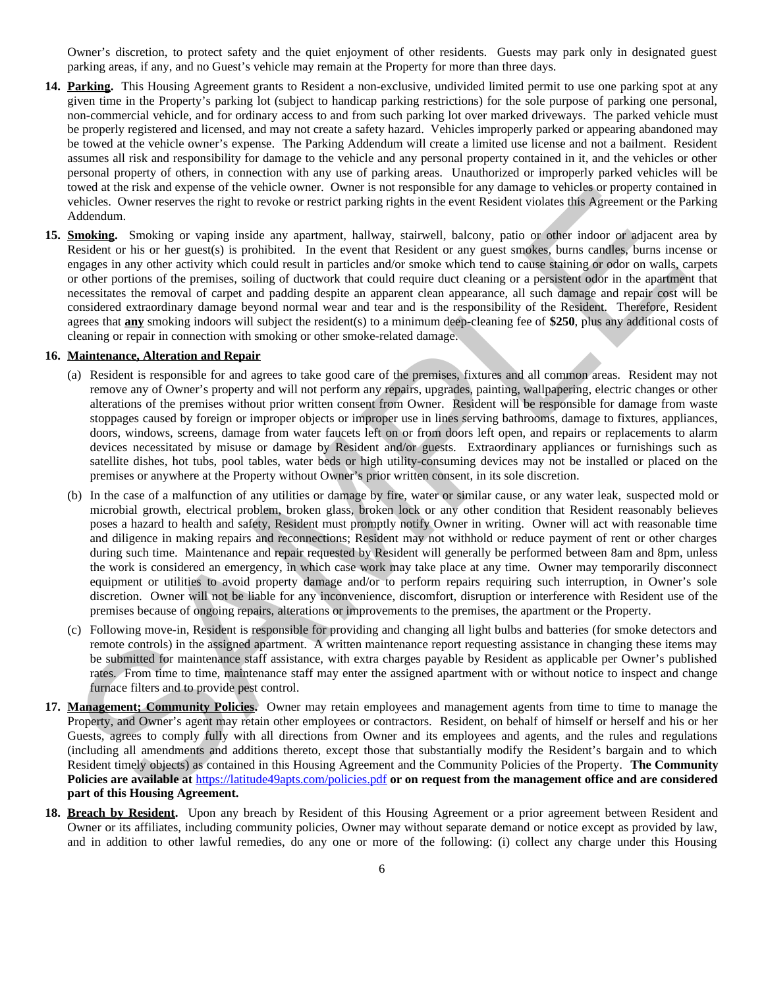Owner's discretion, to protect safety and the quiet enjoyment of other residents. Guests may park only in designated guest parking areas, if any, and no Guest's vehicle may remain at the Property for more than three days.

- **14. Parking.** This Housing Agreement grants to Resident a non-exclusive, undivided limited permit to use one parking spot at any given time in the Property's parking lot (subject to handicap parking restrictions) for the sole purpose of parking one personal, non-commercial vehicle, and for ordinary access to and from such parking lot over marked driveways. The parked vehicle must be properly registered and licensed, and may not create a safety hazard. Vehicles improperly parked or appearing abandoned may be towed at the vehicle owner's expense. The Parking Addendum will create a limited use license and not a bailment. Resident assumes all risk and responsibility for damage to the vehicle and any personal property contained in it, and the vehicles or other personal property of others, in connection with any use of parking areas. Unauthorized or improperly parked vehicles will be towed at the risk and expense of the vehicle owner. Owner is not responsible for any damage to vehicles or property contained in vehicles. Owner reserves the right to revoke or restrict parking rights in the event Resident violates this Agreement or the Parking Addendum.
- **15. Smoking.** Smoking or vaping inside any apartment, hallway, stairwell, balcony, patio or other indoor or adjacent area by Resident or his or her guest(s) is prohibited. In the event that Resident or any guest smokes, burns candles, burns incense or engages in any other activity which could result in particles and/or smoke which tend to cause staining or odor on walls, carpets or other portions of the premises, soiling of ductwork that could require duct cleaning or a persistent odor in the apartment that necessitates the removal of carpet and padding despite an apparent clean appearance, all such damage and repair cost will be considered extraordinary damage beyond normal wear and tear and is the responsibility of the Resident. Therefore, Resident agrees that **any** smoking indoors will subject the resident(s) to a minimum deep-cleaning fee of **\$250**, plus any additional costs of cleaning or repair in connection with smoking or other smoke-related damage.

## **16. Maintenance, Alteration and Repair**

- (a) Resident is responsible for and agrees to take good care of the premises, fixtures and all common areas. Resident may not remove any of Owner's property and will not perform any repairs, upgrades, painting, wallpapering, electric changes or other alterations of the premises without prior written consent from Owner. Resident will be responsible for damage from waste stoppages caused by foreign or improper objects or improper use in lines serving bathrooms, damage to fixtures, appliances, doors, windows, screens, damage from water faucets left on or from doors left open, and repairs or replacements to alarm devices necessitated by misuse or damage by Resident and/or guests. Extraordinary appliances or furnishings such as satellite dishes, hot tubs, pool tables, water beds or high utility-consuming devices may not be installed or placed on the premises or anywhere at the Property without Owner's prior written consent, in its sole discretion.
- (b) In the case of a malfunction of any utilities or damage by fire, water or similar cause, or any water leak, suspected mold or microbial growth, electrical problem, broken glass, broken lock or any other condition that Resident reasonably believes poses a hazard to health and safety, Resident must promptly notify Owner in writing. Owner will act with reasonable time and diligence in making repairs and reconnections; Resident may not withhold or reduce payment of rent or other charges during such time. Maintenance and repair requested by Resident will generally be performed between 8am and 8pm, unless the work is considered an emergency, in which case work may take place at any time. Owner may temporarily disconnect equipment or utilities to avoid property damage and/or to perform repairs requiring such interruption, in Owner's sole discretion. Owner will not be liable for any inconvenience, discomfort, disruption or interference with Resident use of the premises because of ongoing repairs, alterations or improvements to the premises, the apartment or the Property. otived at the risk and exponesite for the vehicle owers. Owner is not responsible for any damage no vehicle at property contains a consideration of the state of the state of the state of the state of the state of the state
- (c) Following move-in, Resident is responsible for providing and changing all light bulbs and batteries (for smoke detectors and remote controls) in the assigned apartment. A written maintenance report requesting assistance in changing these items may be submitted for maintenance staff assistance, with extra charges payable by Resident as applicable per Owner's published rates. From time to time, maintenance staff may enter the assigned apartment with or without notice to inspect and change furnace filters and to provide pest control.
- **17. Management; Community Policies.** Owner may retain employees and management agents from time to time to manage the Property, and Owner's agent may retain other employees or contractors. Resident, on behalf of himself or herself and his or her Guests, agrees to comply fully with all directions from Owner and its employees and agents, and the rules and regulations (including all amendments and additions thereto, except those that substantially modify the Resident's bargain and to which Resident timely objects) as contained in this Housing Agreement and the Community Policies of the Property. **The Community Policies are available at** https://latitude49apts.com/policies.pdf **or on request from the management office and are considered part of this Housing Agreement.**
- **18. Breach by Resident.** Upon any breach by Resident of this Housing Agreement or a prior agreement between Resident and Owner or its affiliates, including community policies, Owner may without separate demand or notice except as provided by law, and in addition to other lawful remedies, do any one or more of the following: (i) collect any charge under this Housing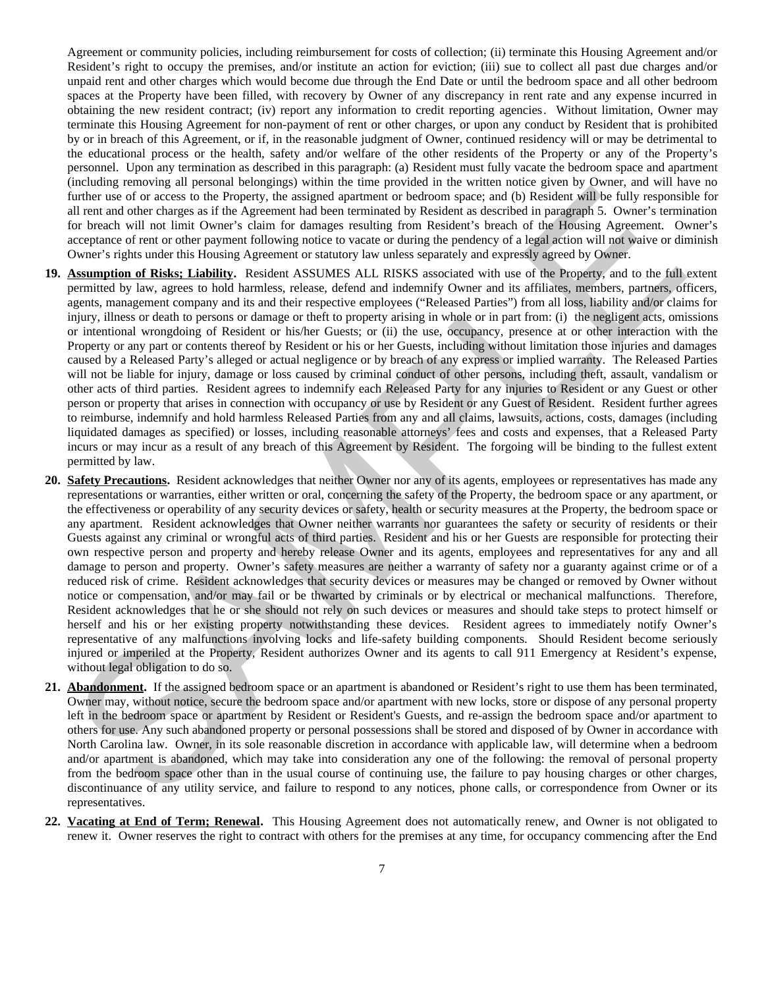Agreement or community policies, including reimbursement for costs of collection; (ii) terminate this Housing Agreement and/or Resident's right to occupy the premises, and/or institute an action for eviction; (iii) sue to collect all past due charges and/or unpaid rent and other charges which would become due through the End Date or until the bedroom space and all other bedroom spaces at the Property have been filled, with recovery by Owner of any discrepancy in rent rate and any expense incurred in obtaining the new resident contract; (iv) report any information to credit reporting agencies. Without limitation, Owner may terminate this Housing Agreement for non-payment of rent or other charges, or upon any conduct by Resident that is prohibited by or in breach of this Agreement, or if, in the reasonable judgment of Owner, continued residency will or may be detrimental to the educational process or the health, safety and/or welfare of the other residents of the Property or any of the Property's personnel. Upon any termination as described in this paragraph: (a) Resident must fully vacate the bedroom space and apartment (including removing all personal belongings) within the time provided in the written notice given by Owner, and will have no further use of or access to the Property, the assigned apartment or bedroom space; and (b) Resident will be fully responsible for all rent and other charges as if the Agreement had been terminated by Resident as described in paragraph 5. Owner's termination for breach will not limit Owner's claim for damages resulting from Resident's breach of the Housing Agreement. Owner's acceptance of rent or other payment following notice to vacate or during the pendency of a legal action will not waive or diminish Owner's rights under this Housing Agreement or statutory law unless separately and expressly agreed by Owner.

- **19. Assumption of Risks; Liability.** Resident ASSUMES ALL RISKS associated with use of the Property, and to the full extent permitted by law, agrees to hold harmless, release, defend and indemnify Owner and its affiliates, members, partners, officers, agents, management company and its and their respective employees ("Released Parties") from all loss, liability and/or claims for injury, illness or death to persons or damage or theft to property arising in whole or in part from: (i) the negligent acts, omissions or intentional wrongdoing of Resident or his/her Guests; or (ii) the use, occupancy, presence at or other interaction with the Property or any part or contents thereof by Resident or his or her Guests, including without limitation those injuries and damages caused by a Released Party's alleged or actual negligence or by breach of any express or implied warranty. The Released Parties will not be liable for injury, damage or loss caused by criminal conduct of other persons, including theft, assault, vandalism or other acts of third parties. Resident agrees to indemnify each Released Party for any injuries to Resident or any Guest or other person or property that arises in connection with occupancy or use by Resident or any Guest of Resident. Resident further agrees to reimburse, indemnify and hold harmless Released Parties from any and all claims, lawsuits, actions, costs, damages (including liquidated damages as specified) or losses, including reasonable attorneys' fees and costs and expenses, that a Released Party incurs or may incur as a result of any breach of this Agreement by Resident. The forgoing will be binding to the fullest extent permitted by law.
- **20. Safety Precautions.** Resident acknowledges that neither Owner nor any of its agents, employees or representatives has made any representations or warranties, either written or oral, concerning the safety of the Property, the bedroom space or any apartment, or the effectiveness or operability of any security devices or safety, health or security measures at the Property, the bedroom space or any apartment. Resident acknowledges that Owner neither warrants nor guarantees the safety or security of residents or their Guests against any criminal or wrongful acts of third parties. Resident and his or her Guests are responsible for protecting their own respective person and property and hereby release Owner and its agents, employees and representatives for any and all damage to person and property. Owner's safety measures are neither a warranty of safety nor a guaranty against crime or of a reduced risk of crime. Resident acknowledges that security devices or measures may be changed or removed by Owner without notice or compensation, and/or may fail or be thwarted by criminals or by electrical or mechanical malfunctions. Therefore, Resident acknowledges that he or she should not rely on such devices or measures and should take steps to protect himself or herself and his or her existing property notwithstanding these devices. Resident agrees to immediately notify Owner's representative of any malfunctions involving locks and life-safety building components. Should Resident become seriously injured or imperiled at the Property, Resident authorizes Owner and its agents to call 911 Emergency at Resident's expense, without legal obligation to do so. International and the shown of the model in the state of the state of the state of the state of the state of the state of the state of the state of the state of the state of the state of the state of the state of the stat
- **21. Abandonment.** If the assigned bedroom space or an apartment is abandoned or Resident's right to use them has been terminated, Owner may, without notice, secure the bedroom space and/or apartment with new locks, store or dispose of any personal property left in the bedroom space or apartment by Resident or Resident's Guests, and re-assign the bedroom space and/or apartment to others for use. Any such abandoned property or personal possessions shall be stored and disposed of by Owner in accordance with North Carolina law. Owner, in its sole reasonable discretion in accordance with applicable law, will determine when a bedroom and/or apartment is abandoned, which may take into consideration any one of the following: the removal of personal property from the bedroom space other than in the usual course of continuing use, the failure to pay housing charges or other charges, discontinuance of any utility service, and failure to respond to any notices, phone calls, or correspondence from Owner or its representatives.
- **22. Vacating at End of Term; Renewal.** This Housing Agreement does not automatically renew, and Owner is not obligated to renew it. Owner reserves the right to contract with others for the premises at any time, for occupancy commencing after the End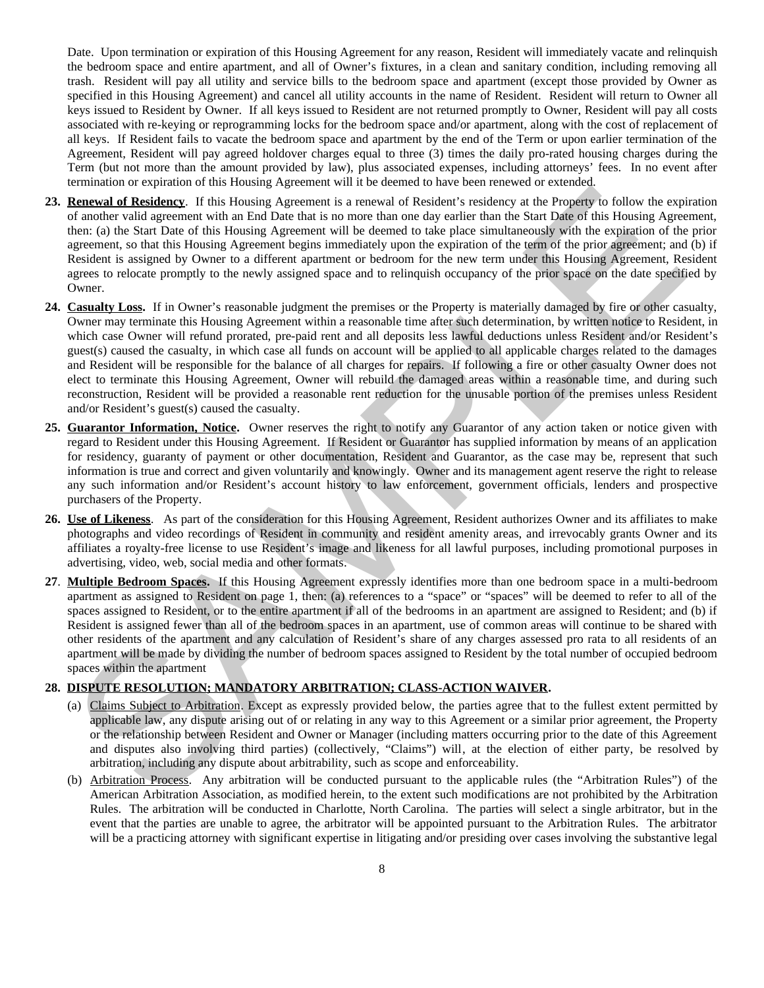Date. Upon termination or expiration of this Housing Agreement for any reason, Resident will immediately vacate and relinquish the bedroom space and entire apartment, and all of Owner's fixtures, in a clean and sanitary condition, including removing all trash. Resident will pay all utility and service bills to the bedroom space and apartment (except those provided by Owner as specified in this Housing Agreement) and cancel all utility accounts in the name of Resident. Resident will return to Owner all keys issued to Resident by Owner. If all keys issued to Resident are not returned promptly to Owner, Resident will pay all costs associated with re-keying or reprogramming locks for the bedroom space and/or apartment, along with the cost of replacement of all keys. If Resident fails to vacate the bedroom space and apartment by the end of the Term or upon earlier termination of the Agreement, Resident will pay agreed holdover charges equal to three (3) times the daily pro-rated housing charges during the Term (but not more than the amount provided by law), plus associated expenses, including attorneys' fees. In no event after termination or expiration of this Housing Agreement will it be deemed to have been renewed or extended.

- **23. Renewal of Residency**. If this Housing Agreement is a renewal of Resident's residency at the Property to follow the expiration of another valid agreement with an End Date that is no more than one day earlier than the Start Date of this Housing Agreement, then: (a) the Start Date of this Housing Agreement will be deemed to take place simultaneously with the expiration of the prior agreement, so that this Housing Agreement begins immediately upon the expiration of the term of the prior agreement; and (b) if Resident is assigned by Owner to a different apartment or bedroom for the new term under this Housing Agreement, Resident agrees to relocate promptly to the newly assigned space and to relinquish occupancy of the prior space on the date specified by Owner.
- **24. Casualty Loss.** If in Owner's reasonable judgment the premises or the Property is materially damaged by fire or other casualty, Owner may terminate this Housing Agreement within a reasonable time after such determination, by written notice to Resident, in which case Owner will refund prorated, pre-paid rent and all deposits less lawful deductions unless Resident and/or Resident's guest(s) caused the casualty, in which case all funds on account will be applied to all applicable charges related to the damages and Resident will be responsible for the balance of all charges for repairs. If following a fire or other casualty Owner does not elect to terminate this Housing Agreement, Owner will rebuild the damaged areas within a reasonable time, and during such reconstruction, Resident will be provided a reasonable rent reduction for the unusable portion of the premises unless Resident and/or Resident's guest(s) caused the casualty. Extended at Reddency. It this island, a spectral of a network of the central control of the central control of the control of the central control of the central control of the central control of the central control of the
- **25. Guarantor Information, Notice.** Owner reserves the right to notify any Guarantor of any action taken or notice given with regard to Resident under this Housing Agreement. If Resident or Guarantor has supplied information by means of an application for residency, guaranty of payment or other documentation, Resident and Guarantor, as the case may be, represent that such information is true and correct and given voluntarily and knowingly. Owner and its management agent reserve the right to release any such information and/or Resident's account history to law enforcement, government officials, lenders and prospective purchasers of the Property.
- **26. Use of Likeness**. As part of the consideration for this Housing Agreement, Resident authorizes Owner and its affiliates to make photographs and video recordings of Resident in community and resident amenity areas, and irrevocably grants Owner and its affiliates a royalty-free license to use Resident's image and likeness for all lawful purposes, including promotional purposes in advertising, video, web, social media and other formats.
- **27**. **Multiple Bedroom Spaces.** If this Housing Agreement expressly identifies more than one bedroom space in a multi-bedroom apartment as assigned to Resident on page 1, then: (a) references to a "space" or "spaces" will be deemed to refer to all of the spaces assigned to Resident, or to the entire apartment if all of the bedrooms in an apartment are assigned to Resident; and (b) if Resident is assigned fewer than all of the bedroom spaces in an apartment, use of common areas will continue to be shared with other residents of the apartment and any calculation of Resident's share of any charges assessed pro rata to all residents of an apartment will be made by dividing the number of bedroom spaces assigned to Resident by the total number of occupied bedroom spaces within the apartment

### **28. DISPUTE RESOLUTION; MANDATORY ARBITRATION; CLASS-ACTION WAIVER.**

- (a) Claims Subject to Arbitration. Except as expressly provided below, the parties agree that to the fullest extent permitted by applicable law, any dispute arising out of or relating in any way to this Agreement or a similar prior agreement, the Property or the relationship between Resident and Owner or Manager (including matters occurring prior to the date of this Agreement and disputes also involving third parties) (collectively, "Claims") will, at the election of either party, be resolved by arbitration, including any dispute about arbitrability, such as scope and enforceability.
- (b) Arbitration Process. Any arbitration will be conducted pursuant to the applicable rules (the "Arbitration Rules") of the American Arbitration Association, as modified herein, to the extent such modifications are not prohibited by the Arbitration Rules. The arbitration will be conducted in Charlotte, North Carolina. The parties will select a single arbitrator, but in the event that the parties are unable to agree, the arbitrator will be appointed pursuant to the Arbitration Rules. The arbitrator will be a practicing attorney with significant expertise in litigating and/or presiding over cases involving the substantive legal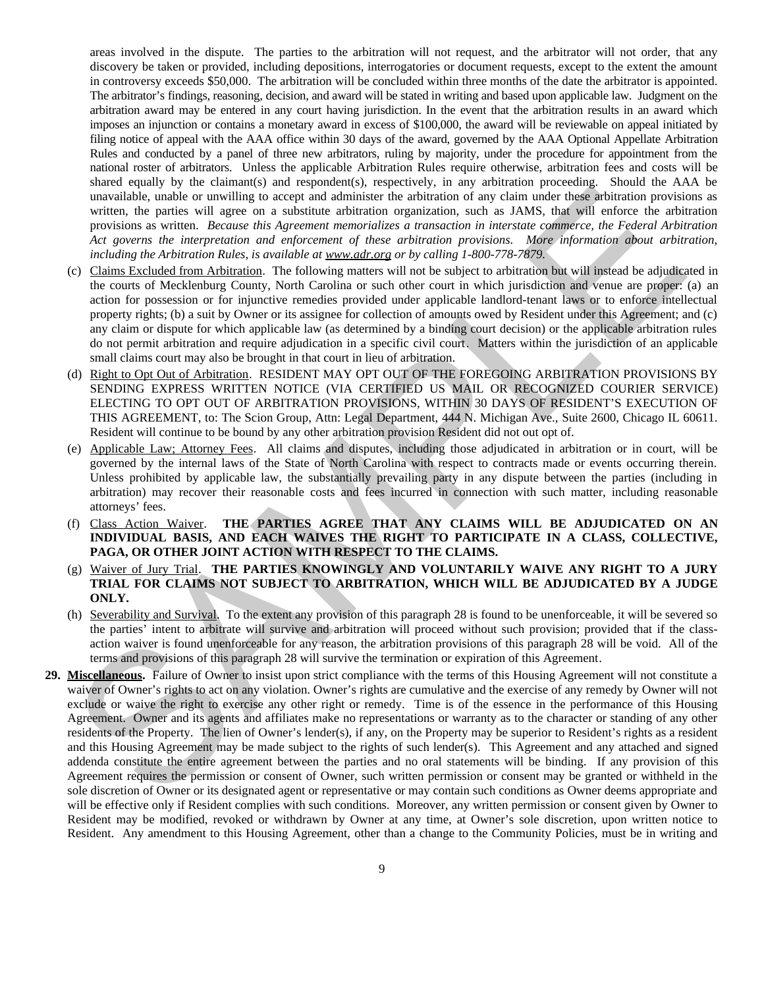areas involved in the dispute. The parties to the arbitration will not request, and the arbitrator will not order, that any discovery be taken or provided, including depositions, interrogatories or document requests, except to the extent the amount in controversy exceeds \$50,000. The arbitration will be concluded within three months of the date the arbitrator is appointed. The arbitrator's findings, reasoning, decision, and award will be stated in writing and based upon applicable law. Judgment on the arbitration award may be entered in any court having jurisdiction. In the event that the arbitration results in an award which imposes an injunction or contains a monetary award in excess of \$100,000, the award will be reviewable on appeal initiated by filing notice of appeal with the AAA office within 30 days of the award, governed by the AAA Optional Appellate Arbitration Rules and conducted by a panel of three new arbitrators, ruling by majority, under the procedure for appointment from the national roster of arbitrators. Unless the applicable Arbitration Rules require otherwise, arbitration fees and costs will be shared equally by the claimant(s) and respondent(s), respectively, in any arbitration proceeding. Should the AAA be unavailable, unable or unwilling to accept and administer the arbitration of any claim under these arbitration provisions as written, the parties will agree on a substitute arbitration organization, such as JAMS, that will enforce the arbitration provisions as written. *Because this Agreement memorializes a transaction in interstate commerce, the Federal Arbitration Act governs the interpretation and enforcement of these arbitration provisions. More information about arbitration, including the Arbitration Rules, is available at www.adr.org or by calling 1-800-778-7879.*

- (c) Claims Excluded from Arbitration. The following matters will not be subject to arbitration but will instead be adjudicated in the courts of Mecklenburg County, North Carolina or such other court in which jurisdiction and venue are proper: (a) an action for possession or for injunctive remedies provided under applicable landlord-tenant laws or to enforce intellectual property rights; (b) a suit by Owner or its assignee for collection of amounts owed by Resident under this Agreement; and (c) any claim or dispute for which applicable law (as determined by a binding court decision) or the applicable arbitration rules do not permit arbitration and require adjudication in a specific civil court. Matters within the jurisdiction of an applicable small claims court may also be brought in that court in lieu of arbitration.
- (d) Right to Opt Out of Arbitration. RESIDENT MAY OPT OUT OF THE FOREGOING ARBITRATION PROVISIONS BY SENDING EXPRESS WRITTEN NOTICE (VIA CERTIFIED US MAIL OR RECOGNIZED COURIER SERVICE) ELECTING TO OPT OUT OF ARBITRATION PROVISIONS, WITHIN 30 DAYS OF RESIDENT'S EXECUTION OF THIS AGREEMENT, to: The Scion Group, Attn: Legal Department, 444 N. Michigan Ave., Suite 2600, Chicago IL 60611. Resident will continue to be bound by any other arbitration provision Resident did not out opt of.
- (e) Applicable Law; Attorney Fees. All claims and disputes, including those adjudicated in arbitration or in court, will be governed by the internal laws of the State of North Carolina with respect to contracts made or events occurring therein. Unless prohibited by applicable law, the substantially prevailing party in any dispute between the parties (including in arbitration) may recover their reasonable costs and fees incurred in connection with such matter, including reasonable attorneys' fees.
- (f) Class Action Waiver. **THE PARTIES AGREE THAT ANY CLAIMS WILL BE ADJUDICATED ON AN INDIVIDUAL BASIS, AND EACH WAIVES THE RIGHT TO PARTICIPATE IN A CLASS, COLLECTIVE, PAGA, OR OTHER JOINT ACTION WITH RESPECT TO THE CLAIMS.**
- (g) Waiver of Jury Trial. **THE PARTIES KNOWINGLY AND VOLUNTARILY WAIVE ANY RIGHT TO A JURY TRIAL FOR CLAIMS NOT SUBJECT TO ARBITRATION, WHICH WILL BE ADJUDICATED BY A JUDGE ONLY.**
- (h) Severability and Survival. To the extent any provision of this paragraph 28 is found to be unenforceable, it will be severed so the parties' intent to arbitrate will survive and arbitration will proceed without such provision; provided that if the classaction waiver is found unenforceable for any reason, the arbitration provisions of this paragraph 28 will be void. All of the terms and provisions of this paragraph 28 will survive the termination or expiration of this Agreement.
- **29. Miscellaneous.** Failure of Owner to insist upon strict compliance with the terms of this Housing Agreement will not constitute a waiver of Owner's rights to act on any violation. Owner's rights are cumulative and the exercise of any remedy by Owner will not exclude or waive the right to exercise any other right or remedy. Time is of the essence in the performance of this Housing Agreement. Owner and its agents and affiliates make no representations or warranty as to the character or standing of any other residents of the Property. The lien of Owner's lender(s), if any, on the Property may be superior to Resident's rights as a resident and this Housing Agreement may be made subject to the rights of such lender(s). This Agreement and any attached and signed addenda constitute the entire agreement between the parties and no oral statements will be binding. If any provision of this Agreement requires the permission or consent of Owner, such written permission or consent may be granted or withheld in the sole discretion of Owner or its designated agent or representative or may contain such conditions as Owner deems appropriate and will be effective only if Resident complies with such conditions. Moreover, any written permission or consent given by Owner to Resident may be modified, revoked or withdrawn by Owner at any time, at Owner's sole discretion, upon written notice to Resident. Any amendment to this Housing Agreement, other than a change to the Community Policies, must be in writing and wavelengths and the meditial of a statement of the statement of the meditial of the median of the statement of the statement of the statement of the statement of the statement of the statement of the statement of the stat